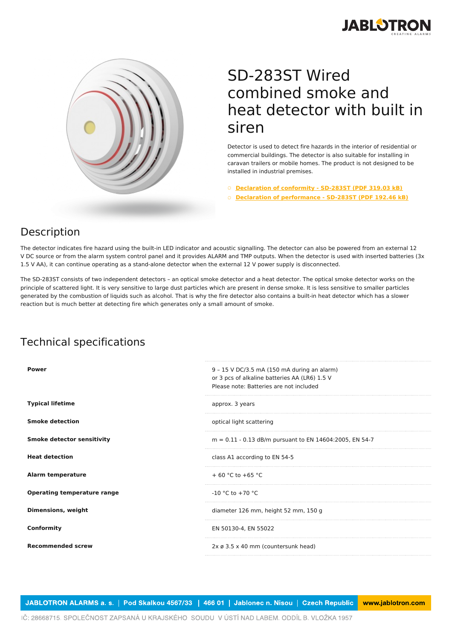



## SD-283ST Wired combined smoke and heat detector with built in siren

Detector is used to detect fire hazards in the interior of residential or commercial buildings. The detector is also suitable for installing in caravan trailers or mobile homes. The product is not designed to be installed in industrial premises.

○ **[Declaration](https://www.jablotron.com/en/template/product/398/?file=0&jt_id=17767&hash=e5KerE&do=downloadCertificate) of conformity - SD-283ST (PDF 319.03 kB)**

○ **Declaration of [performance](https://www.jablotron.com/en/template/product/398/?file=1&jt_id=17767&hash=e5KerE&do=downloadCertificate) - SD-283ST (PDF 192.46 kB)**

## Description

The detector indicates fire hazard using the built-in LED indicator and acoustic signalling. The detector can also be powered from an external 12 V DC source or from the alarm system control panel and it provides ALARM and TMP outputs. When the detector is used with inserted batteries (3x 1.5 V AA), it can continue operating as a stand-alone detector when the external 12 V power supply is disconnected.

The SD-283ST consists of two independent detectors – an optical smoke detector and a heat detector. The optical smoke detector works on the principle of scattered light. It is very sensitive to large dust particles which are present in dense smoke. It is less sensitive to smaller particles generated by the combustion of liquids such as alcohol. That is why the fire detector also contains a built-in heat detector which has a slower reaction but is much better at detecting fire which generates only a small amount of smoke.

## Technical specifications

| <b>Power</b>                       | 9 - 15 V DC/3.5 mA (150 mA during an alarm)<br>or 3 pcs of alkaline batteries AA (LR6) 1.5 V<br>Please note: Batteries are not included |
|------------------------------------|-----------------------------------------------------------------------------------------------------------------------------------------|
| <b>Typical lifetime</b>            | approx. 3 years                                                                                                                         |
| <b>Smoke detection</b>             | optical light scattering                                                                                                                |
| <b>Smoke detector sensitivity</b>  | $m = 0.11 - 0.13$ dB/m pursuant to EN 14604:2005, EN 54-7                                                                               |
| <b>Heat detection</b>              | class A1 according to EN 54-5                                                                                                           |
| <b>Alarm temperature</b>           | $+60 °C$ to $+65 °C$                                                                                                                    |
| <b>Operating temperature range</b> | $-10$ °C to $+70$ °C                                                                                                                    |
| <b>Dimensions, weight</b>          | diameter 126 mm, height 52 mm, 150 g                                                                                                    |
| Conformity                         | EN 50130-4, EN 55022                                                                                                                    |
| <b>Recommended screw</b>           | 2x ø 3.5 x 40 mm (countersunk head)                                                                                                     |

JABLOTRON ALARMS a. s. | Pod Skalkou 4567/33 | 466 01 | Jablonec n. Nisou | Czech Republic www.jablotron.com